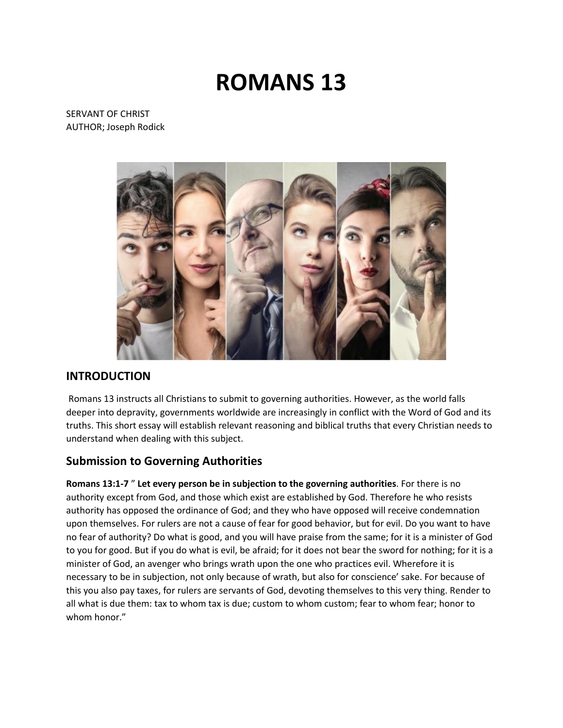## **ROMANS 13**

SERVANT OF CHRIST AUTHOR; Joseph Rodick



## **INTRODUCTION**

Romans 13 instructs all Christians to submit to governing authorities. However, as the world falls deeper into depravity, governments worldwide are increasingly in conflict with the Word of God and its truths. This short essay will establish relevant reasoning and biblical truths that every Christian needs to understand when dealing with this subject.

## **Submission to Governing Authorities**

**Romans 13:1-7** " **Let every person be in subjection to the governing authorities**. For there is no authority except from God, and those which exist are established by God. Therefore he who resists authority has opposed the ordinance of God; and they who have opposed will receive condemnation upon themselves. For rulers are not a cause of fear for good behavior, but for evil. Do you want to have no fear of authority? Do what is good, and you will have praise from the same; for it is a minister of God to you for good. But if you do what is evil, be afraid; for it does not bear the sword for nothing; for it is a minister of God, an avenger who brings wrath upon the one who practices evil. Wherefore it is necessary to be in subjection, not only because of wrath, but also for conscience' sake. For because of this you also pay taxes, for rulers are servants of God, devoting themselves to this very thing. Render to all what is due them: tax to whom tax is due; custom to whom custom; fear to whom fear; honor to whom honor."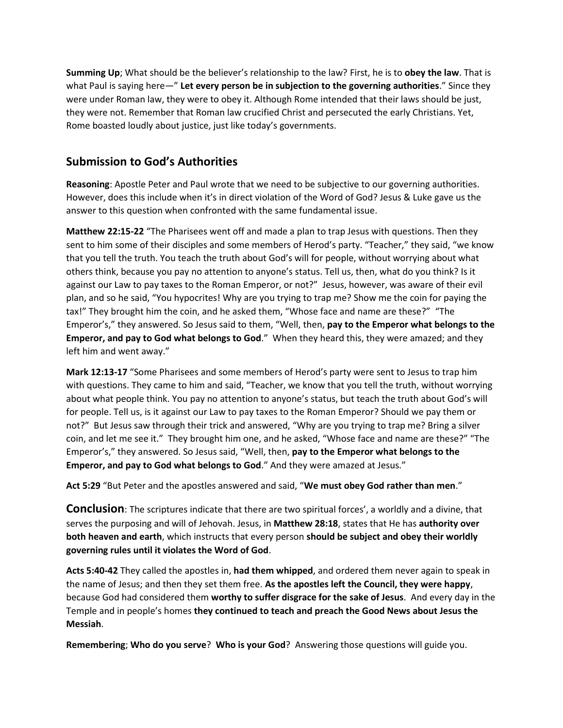**Summing Up**; What should be the believer's relationship to the law? First, he is to **obey the law**. That is what Paul is saying here—" **Let every person be in subjection to the governing authorities**." Since they were under Roman law, they were to obey it. Although Rome intended that their laws should be just, they were not. Remember that Roman law crucified Christ and persecuted the early Christians. Yet, Rome boasted loudly about justice, just like today's governments.

## **Submission to God's Authorities**

**Reasoning**: Apostle Peter and Paul wrote that we need to be subjective to our governing authorities. However, does this include when it's in direct violation of the Word of God? Jesus & Luke gave us the answer to this question when confronted with the same fundamental issue.

**Matthew 22:15-22** "The Pharisees went off and made a plan to trap Jesus with questions. Then they sent to him some of their disciples and some members of Herod's party. "Teacher," they said, "we know that you tell the truth. You teach the truth about God's will for people, without worrying about what others think, because you pay no attention to anyone's status. Tell us, then, what do you think? Is it against our Law to pay taxes to the Roman Emperor, or not?" Jesus, however, was aware of their evil plan, and so he said, "You hypocrites! Why are you trying to trap me? Show me the coin for paying the tax!" They brought him the coin, and he asked them, "Whose face and name are these?" "The Emperor's," they answered. So Jesus said to them, "Well, then, **pay to the Emperor what belongs to the Emperor, and pay to God what belongs to God**." When they heard this, they were amazed; and they left him and went away."

**Mark 12:13-17** "Some Pharisees and some members of Herod's party were sent to Jesus to trap him with questions. They came to him and said, "Teacher, we know that you tell the truth, without worrying about what people think. You pay no attention to anyone's status, but teach the truth about God's will for people. Tell us, is it against our Law to pay taxes to the Roman Emperor? Should we pay them or not?" But Jesus saw through their trick and answered, "Why are you trying to trap me? Bring a silver coin, and let me see it." They brought him one, and he asked, "Whose face and name are these?" "The Emperor's," they answered. So Jesus said, "Well, then, **pay to the Emperor what belongs to the Emperor, and pay to God what belongs to God**." And they were amazed at Jesus."

**Act 5:29** "But Peter and the apostles answered and said, "**We must obey God rather than men**."

**Conclusion**: The scriptures indicate that there are two spiritual forces', a worldly and a divine, that serves the purposing and will of Jehovah. Jesus, in **Matthew 28:18**, states that He has **authority over both heaven and earth**, which instructs that every person **should be subject and obey their worldly governing rules until it violates the Word of God**.

**Acts 5:40-42** They called the apostles in, **had them whipped**, and ordered them never again to speak in the name of Jesus; and then they set them free. **As the apostles left the Council, they were happy**, because God had considered them **worthy to suffer disgrace for the sake of Jesus**. And every day in the Temple and in people's homes **they continued to teach and preach the Good News about Jesus the Messiah**.

**Remembering**; **Who do you serve**? **Who is your God**? Answering those questions will guide you.